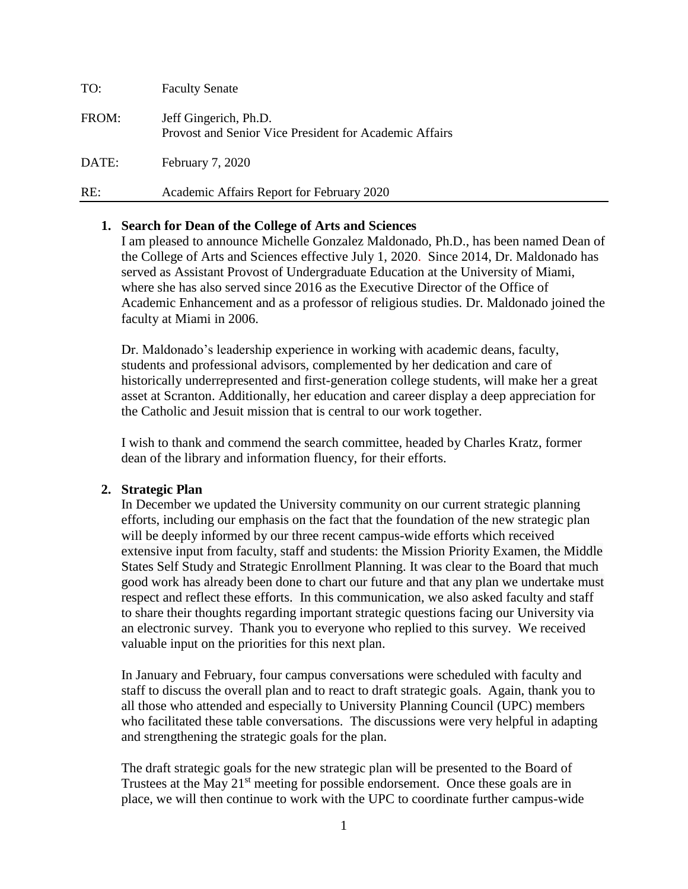| TO:   | <b>Faculty Senate</b>                                                           |
|-------|---------------------------------------------------------------------------------|
| FROM: | Jeff Gingerich, Ph.D.<br>Provost and Senior Vice President for Academic Affairs |
| DATE: | <b>February 7, 2020</b>                                                         |
| RE:   | Academic Affairs Report for February 2020                                       |

# **1. Search for Dean of the College of Arts and Sciences**

I am pleased to announce Michelle Gonzalez Maldonado, Ph.D., has been named Dean of the College of Arts and Sciences effective July 1, 2020. Since 2014, Dr. Maldonado has served as Assistant Provost of Undergraduate Education at the University of Miami, where she has also served since 2016 as the Executive Director of the Office of Academic Enhancement and as a professor of religious studies. Dr. Maldonado joined the faculty at Miami in 2006.

Dr. Maldonado's leadership experience in working with academic deans, faculty, students and professional advisors, complemented by her dedication and care of historically underrepresented and first-generation college students, will make her a great asset at Scranton. Additionally, her education and career display a deep appreciation for the Catholic and Jesuit mission that is central to our work together.

I wish to thank and commend the search committee, headed by Charles Kratz, former dean of the library and information fluency, for their efforts.

## **2. Strategic Plan**

In December we updated the University community on our current strategic planning efforts, including our emphasis on the fact that the foundation of the new strategic plan will be deeply informed by our three recent campus-wide efforts which received extensive input from faculty, staff and students: the Mission Priority Examen, the Middle States Self Study and Strategic Enrollment Planning. It was clear to the Board that much good work has already been done to chart our future and that any plan we undertake must respect and reflect these efforts. In this communication, we also asked faculty and staff to share their thoughts regarding important strategic questions facing our University via an electronic survey. Thank you to everyone who replied to this survey. We received valuable input on the priorities for this next plan.

In January and February, four campus conversations were scheduled with faculty and staff to discuss the overall plan and to react to draft strategic goals. Again, thank you to all those who attended and especially to University Planning Council (UPC) members who facilitated these table conversations. The discussions were very helpful in adapting and strengthening the strategic goals for the plan.

The draft strategic goals for the new strategic plan will be presented to the Board of Trustees at the May  $21<sup>st</sup>$  meeting for possible endorsement. Once these goals are in place, we will then continue to work with the UPC to coordinate further campus-wide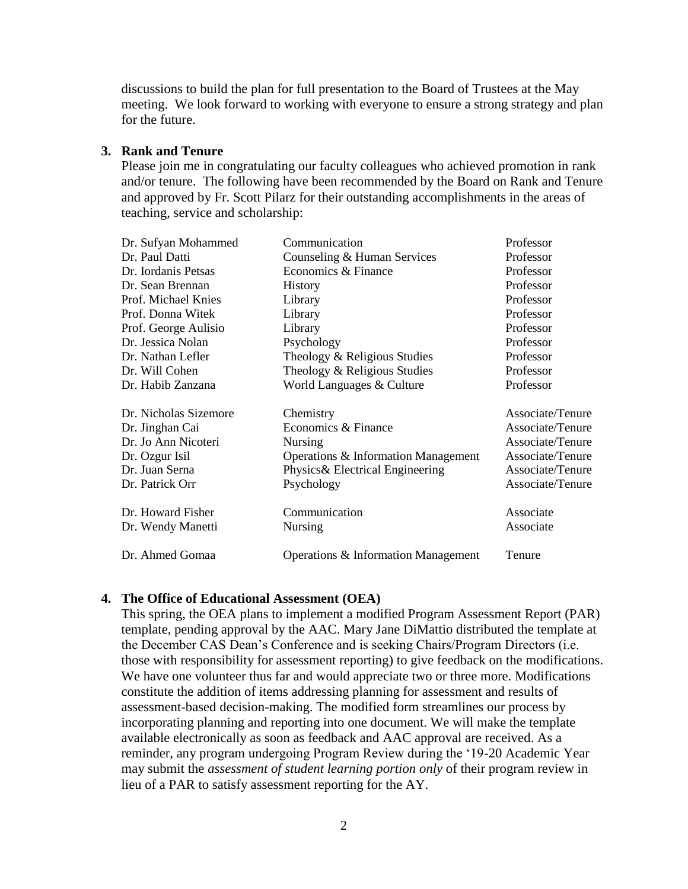discussions to build the plan for full presentation to the Board of Trustees at the May meeting. We look forward to working with everyone to ensure a strong strategy and plan for the future.

#### **3. Rank and Tenure**

Please join me in congratulating our faculty colleagues who achieved promotion in rank and/or tenure. The following have been recommended by the Board on Rank and Tenure and approved by Fr. Scott Pilarz for their outstanding accomplishments in the areas of teaching, service and scholarship:

| Dr. Sufyan Mohammed   | Communication                       | Professor        |
|-----------------------|-------------------------------------|------------------|
| Dr. Paul Datti        | Counseling & Human Services         | Professor        |
| Dr. Iordanis Petsas   | Economics & Finance                 | Professor        |
| Dr. Sean Brennan      | <b>History</b>                      | Professor        |
| Prof. Michael Knies   | Library                             | Professor        |
| Prof. Donna Witek     | Library                             | Professor        |
| Prof. George Aulisio  | Library                             | Professor        |
| Dr. Jessica Nolan     | Psychology                          | Professor        |
| Dr. Nathan Lefler     | Theology & Religious Studies        | Professor        |
| Dr. Will Cohen        | Theology & Religious Studies        | Professor        |
| Dr. Habib Zanzana     | World Languages & Culture           | Professor        |
| Dr. Nicholas Sizemore | Chemistry                           | Associate/Tenure |
| Dr. Jinghan Cai       | Economics & Finance                 | Associate/Tenure |
| Dr. Jo Ann Nicoteri   | <b>Nursing</b>                      | Associate/Tenure |
| Dr. Ozgur Isil        | Operations & Information Management | Associate/Tenure |
| Dr. Juan Serna        | Physics & Electrical Engineering    | Associate/Tenure |
| Dr. Patrick Orr       | Psychology                          | Associate/Tenure |
| Dr. Howard Fisher     | Communication                       | Associate        |
| Dr. Wendy Manetti     | Nursing                             | Associate        |
| Dr. Ahmed Gomaa       | Operations & Information Management | Tenure           |

### **4. The Office of Educational Assessment (OEA)**

This spring, the OEA plans to implement a modified Program Assessment Report (PAR) template, pending approval by the AAC. Mary Jane DiMattio distributed the template at the December CAS Dean's Conference and is seeking Chairs/Program Directors (i.e. those with responsibility for assessment reporting) to give feedback on the modifications. We have one volunteer thus far and would appreciate two or three more. Modifications constitute the addition of items addressing planning for assessment and results of assessment-based decision-making. The modified form streamlines our process by incorporating planning and reporting into one document. We will make the template available electronically as soon as feedback and AAC approval are received. As a reminder, any program undergoing Program Review during the '19-20 Academic Year may submit the *assessment of student learning portion only* of their program review in lieu of a PAR to satisfy assessment reporting for the AY.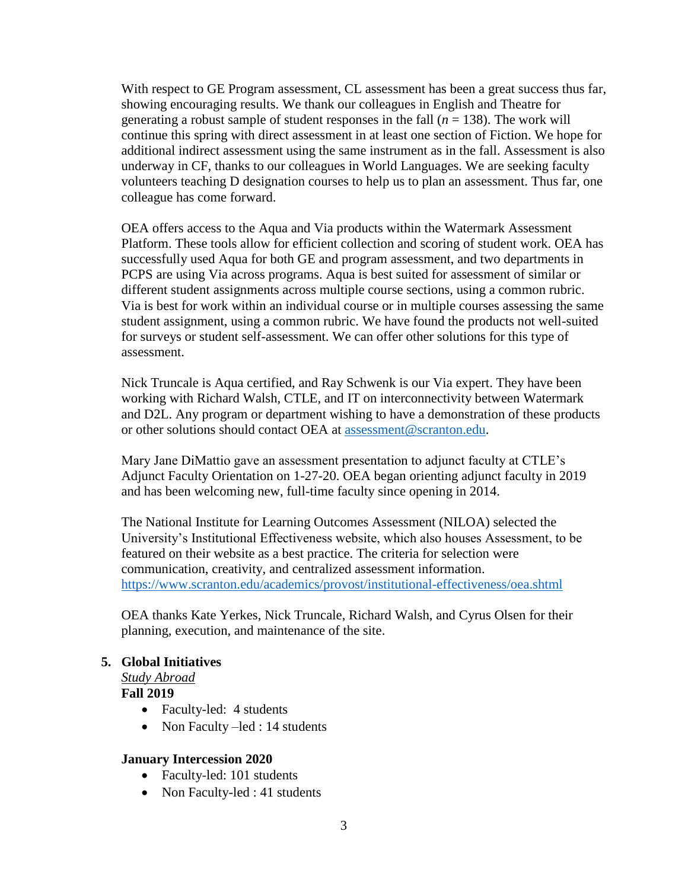With respect to GE Program assessment, CL assessment has been a great success thus far, showing encouraging results. We thank our colleagues in English and Theatre for generating a robust sample of student responses in the fall  $(n = 138)$ . The work will continue this spring with direct assessment in at least one section of Fiction. We hope for additional indirect assessment using the same instrument as in the fall. Assessment is also underway in CF, thanks to our colleagues in World Languages. We are seeking faculty volunteers teaching D designation courses to help us to plan an assessment. Thus far, one colleague has come forward.

OEA offers access to the Aqua and Via products within the Watermark Assessment Platform. These tools allow for efficient collection and scoring of student work. OEA has successfully used Aqua for both GE and program assessment, and two departments in PCPS are using Via across programs. Aqua is best suited for assessment of similar or different student assignments across multiple course sections, using a common rubric. Via is best for work within an individual course or in multiple courses assessing the same student assignment, using a common rubric. We have found the products not well-suited for surveys or student self-assessment. We can offer other solutions for this type of assessment.

Nick Truncale is Aqua certified, and Ray Schwenk is our Via expert. They have been working with Richard Walsh, CTLE, and IT on interconnectivity between Watermark and D2L. Any program or department wishing to have a demonstration of these products or other solutions should contact OEA at [assessment@scranton.edu.](mailto:assessment@scranton.edu)

Mary Jane DiMattio gave an assessment presentation to adjunct faculty at CTLE's Adjunct Faculty Orientation on 1-27-20. OEA began orienting adjunct faculty in 2019 and has been welcoming new, full-time faculty since opening in 2014.

The National Institute for Learning Outcomes Assessment (NILOA) selected the University's Institutional Effectiveness website, which also houses Assessment, to be featured on their website as a best practice. The criteria for selection were communication, creativity, and centralized assessment information. <https://www.scranton.edu/academics/provost/institutional-effectiveness/oea.shtml>

OEA thanks Kate Yerkes, Nick Truncale, Richard Walsh, and Cyrus Olsen for their planning, execution, and maintenance of the site.

## **5. Global Initiatives**

*Study Abroad*

## **Fall 2019**

- Faculty-led: 4 students
- Non Faculty –led : 14 students

#### **January Intercession 2020**

- Faculty-led: 101 students
- Non Faculty-led : 41 students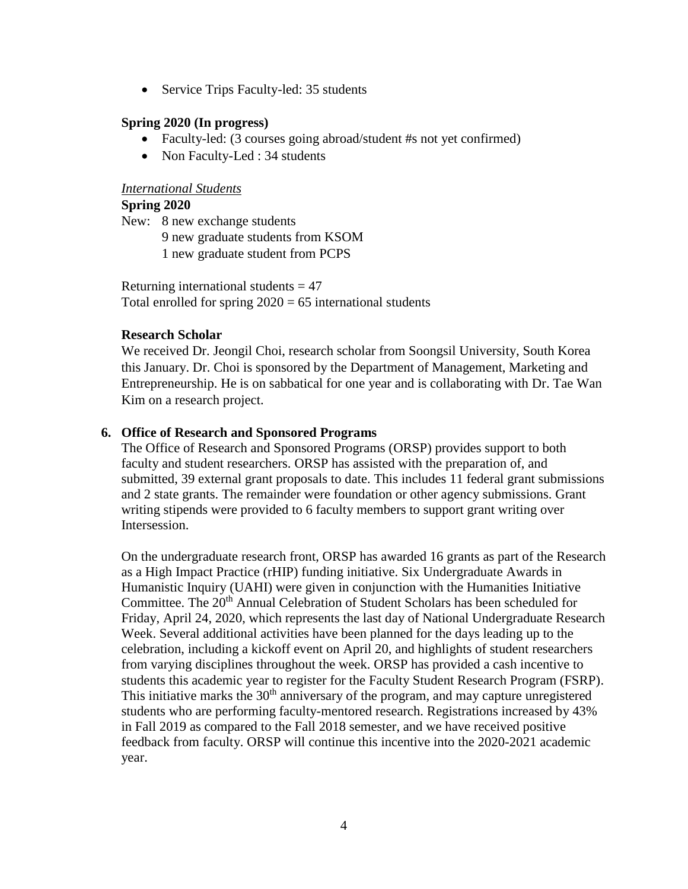• Service Trips Faculty-led: 35 students

## **Spring 2020 (In progress)**

- Faculty-led: (3 courses going abroad/student #s not yet confirmed)
- Non Faculty-Led : 34 students

## *International Students*

## **Spring 2020**

New: 8 new exchange students

- 9 new graduate students from KSOM
- 1 new graduate student from PCPS

Returning international students  $= 47$ Total enrolled for spring  $2020 = 65$  international students

## **Research Scholar**

We received Dr. Jeongil Choi, research scholar from Soongsil University, South Korea this January. Dr. Choi is sponsored by the Department of Management, Marketing and Entrepreneurship. He is on sabbatical for one year and is collaborating with Dr. Tae Wan Kim on a research project.

## **6. Office of Research and Sponsored Programs**

The Office of Research and Sponsored Programs (ORSP) provides support to both faculty and student researchers. ORSP has assisted with the preparation of, and submitted, 39 external grant proposals to date. This includes 11 federal grant submissions and 2 state grants. The remainder were foundation or other agency submissions. Grant writing stipends were provided to 6 faculty members to support grant writing over Intersession.

On the undergraduate research front, ORSP has awarded 16 grants as part of the Research as a High Impact Practice (rHIP) funding initiative. Six Undergraduate Awards in Humanistic Inquiry (UAHI) were given in conjunction with the Humanities Initiative Committee. The 20<sup>th</sup> Annual Celebration of Student Scholars has been scheduled for Friday, April 24, 2020, which represents the last day of National Undergraduate Research Week. Several additional activities have been planned for the days leading up to the celebration, including a kickoff event on April 20, and highlights of student researchers from varying disciplines throughout the week. ORSP has provided a cash incentive to students this academic year to register for the Faculty Student Research Program (FSRP). This initiative marks the  $30<sup>th</sup>$  anniversary of the program, and may capture unregistered students who are performing faculty-mentored research. Registrations increased by 43% in Fall 2019 as compared to the Fall 2018 semester, and we have received positive feedback from faculty. ORSP will continue this incentive into the 2020-2021 academic year.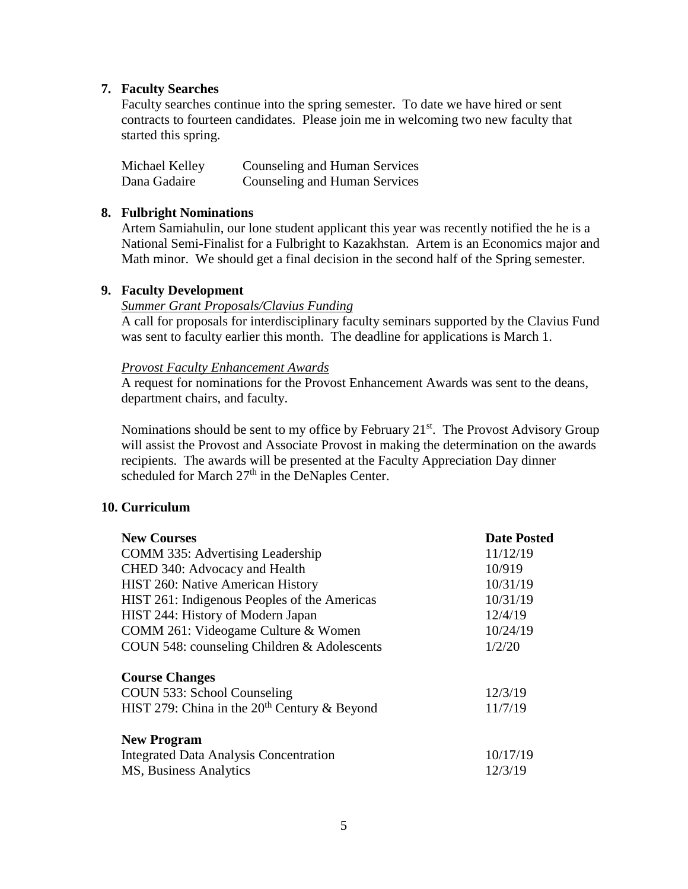#### **7. Faculty Searches**

Faculty searches continue into the spring semester. To date we have hired or sent contracts to fourteen candidates. Please join me in welcoming two new faculty that started this spring.

| Michael Kelley | Counseling and Human Services |
|----------------|-------------------------------|
| Dana Gadaire   | Counseling and Human Services |

#### **8. Fulbright Nominations**

Artem Samiahulin, our lone student applicant this year was recently notified the he is a National Semi-Finalist for a Fulbright to Kazakhstan. Artem is an Economics major and Math minor. We should get a final decision in the second half of the Spring semester.

#### **9. Faculty Development**

#### *Summer Grant Proposals/Clavius Funding*

A call for proposals for interdisciplinary faculty seminars supported by the Clavius Fund was sent to faculty earlier this month. The deadline for applications is March 1.

#### *Provost Faculty Enhancement Awards*

A request for nominations for the Provost Enhancement Awards was sent to the deans, department chairs, and faculty.

Nominations should be sent to my office by February  $21<sup>st</sup>$ . The Provost Advisory Group will assist the Provost and Associate Provost in making the determination on the awards recipients. The awards will be presented at the Faculty Appreciation Day dinner scheduled for March 27<sup>th</sup> in the DeNaples Center.

#### **10. Curriculum**

| <b>New Courses</b>                             | <b>Date Posted</b> |
|------------------------------------------------|--------------------|
| COMM 335: Advertising Leadership               | 11/12/19           |
| CHED 340: Advocacy and Health                  | 10/919             |
| HIST 260: Native American History              | 10/31/19           |
| HIST 261: Indigenous Peoples of the Americas   | 10/31/19           |
| HIST 244: History of Modern Japan              | 12/4/19            |
| COMM 261: Videogame Culture & Women            | 10/24/19           |
| COUN 548: counseling Children & Adolescents    | 1/2/20             |
| <b>Course Changes</b>                          |                    |
| COUN 533: School Counseling                    | 12/3/19            |
| HIST 279: China in the $20th$ Century & Beyond | 11/7/19            |
| <b>New Program</b>                             |                    |
| <b>Integrated Data Analysis Concentration</b>  | 10/17/19           |
| MS, Business Analytics                         | 12/3/19            |